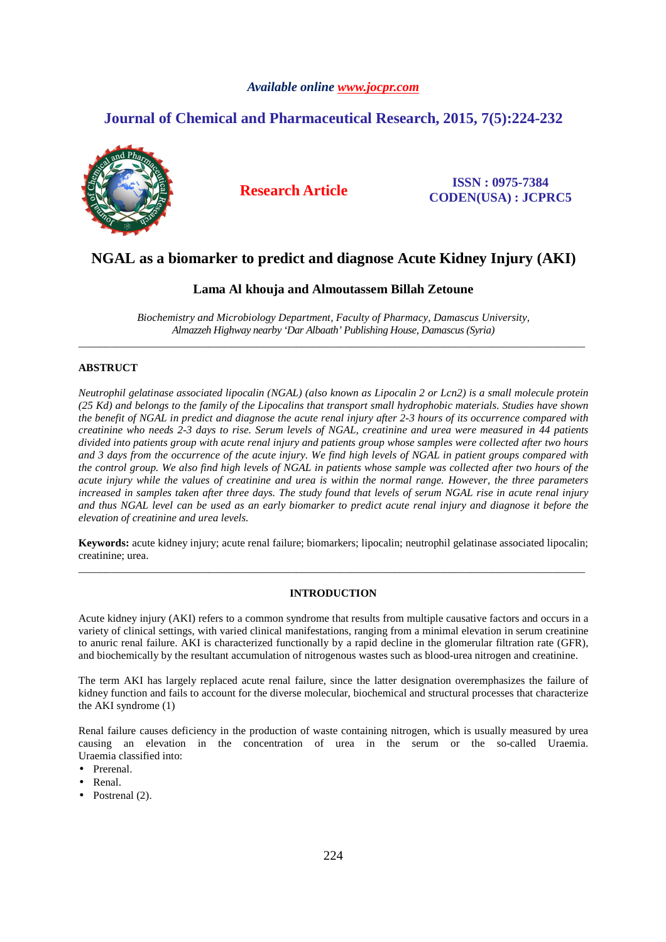## *Available online www.jocpr.com*

# **Journal of Chemical and Pharmaceutical Research, 2015, 7(5):224-232**



**Research Article ISSN : 0975-7384 CODEN(USA) : JCPRC5**

# **NGAL as a biomarker to predict and diagnose Acute Kidney Injury (AKI)**

## **Lama Al khouja and Almoutassem Billah Zetoune**

*Biochemistry and Microbiology Department, Faculty of Pharmacy, Damascus University, Almazzeh Highway nearby 'Dar Albaath' Publishing House, Damascus (Syria)*  \_\_\_\_\_\_\_\_\_\_\_\_\_\_\_\_\_\_\_\_\_\_\_\_\_\_\_\_\_\_\_\_\_\_\_\_\_\_\_\_\_\_\_\_\_\_\_\_\_\_\_\_\_\_\_\_\_\_\_\_\_\_\_\_\_\_\_\_\_\_\_\_\_\_\_\_\_\_\_\_\_\_\_\_\_\_\_\_\_\_\_\_\_

## **ABSTRUCT**

*Neutrophil gelatinase associated lipocalin (NGAL) (also known as Lipocalin 2 or Lcn2) is a small molecule protein (25 Kd) and belongs to the family of the Lipocalins that transport small hydrophobic materials. Studies have shown the benefit of NGAL in predict and diagnose the acute renal injury after 2-3 hours of its occurrence compared with creatinine who needs 2-3 days to rise. Serum levels of NGAL, creatinine and urea were measured in 44 patients divided into patients group with acute renal injury and patients group whose samples were collected after two hours and 3 days from the occurrence of the acute injury. We find high levels of NGAL in patient groups compared with the control group. We also find high levels of NGAL in patients whose sample was collected after two hours of the acute injury while the values of creatinine and urea is within the normal range. However, the three parameters increased in samples taken after three days. The study found that levels of serum NGAL rise in acute renal injury and thus NGAL level can be used as an early biomarker to predict acute renal injury and diagnose it before the elevation of creatinine and urea levels.* 

**Keywords:** acute kidney injury; acute renal failure; biomarkers; lipocalin; neutrophil gelatinase associated lipocalin; creatinine; urea. \_\_\_\_\_\_\_\_\_\_\_\_\_\_\_\_\_\_\_\_\_\_\_\_\_\_\_\_\_\_\_\_\_\_\_\_\_\_\_\_\_\_\_\_\_\_\_\_\_\_\_\_\_\_\_\_\_\_\_\_\_\_\_\_\_\_\_\_\_\_\_\_\_\_\_\_\_\_\_\_\_\_\_\_\_\_\_\_\_\_\_\_\_

## **INTRODUCTION**

Acute kidney injury (AKI) refers to a common syndrome that results from multiple causative factors and occurs in a variety of clinical settings, with varied clinical manifestations, ranging from a minimal elevation in serum creatinine to anuric renal failure. AKI is characterized functionally by a rapid decline in the glomerular filtration rate (GFR), and biochemically by the resultant accumulation of nitrogenous wastes such as blood-urea nitrogen and creatinine.

The term AKI has largely replaced acute renal failure, since the latter designation overemphasizes the failure of kidney function and fails to account for the diverse molecular, biochemical and structural processes that characterize the AKI syndrome (1)

Renal failure causes deficiency in the production of waste containing nitrogen, which is usually measured by urea causing an elevation in the concentration of urea in the serum or the so-called Uraemia. Uraemia classified into:

- Prerenal.
- Renal.
- Postrenal (2).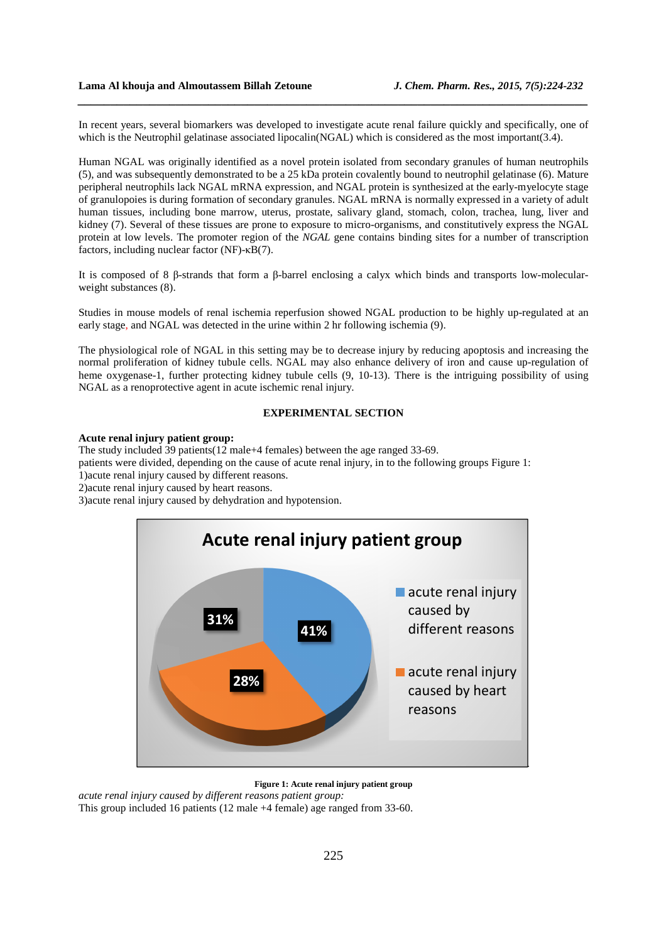In recent years, several biomarkers was developed to investigate acute renal failure quickly and specifically, one of which is the Neutrophil gelatinase associated lipocalin(NGAL) which is considered as the most important(3.4).

*\_\_\_\_\_\_\_\_\_\_\_\_\_\_\_\_\_\_\_\_\_\_\_\_\_\_\_\_\_\_\_\_\_\_\_\_\_\_\_\_\_\_\_\_\_\_\_\_\_\_\_\_\_\_\_\_\_\_\_\_\_\_\_\_\_\_\_\_\_\_\_\_\_\_\_\_\_\_*

Human NGAL was originally identified as a novel protein isolated from secondary granules of human neutrophils (5), and was subsequently demonstrated to be a 25 kDa protein covalently bound to neutrophil gelatinase (6). Mature peripheral neutrophils lack NGAL mRNA expression, and NGAL protein is synthesized at the early-myelocyte stage of granulopoies is during formation of secondary granules. NGAL mRNA is normally expressed in a variety of adult human tissues, including bone marrow, uterus, prostate, salivary gland, stomach, colon, trachea, lung, liver and kidney (7). Several of these tissues are prone to exposure to micro-organisms, and constitutively express the NGAL protein at low levels. The promoter region of the *NGAL* gene contains binding sites for a number of transcription factors, including nuclear factor (NF)-κB(7).

It is composed of 8 β-strands that form a β-barrel enclosing a calyx which binds and transports low-molecularweight substances (8).

Studies in mouse models of renal ischemia reperfusion showed NGAL production to be highly up-regulated at an early stage, and NGAL was detected in the urine within 2 hr following ischemia (9).

The physiological role of NGAL in this setting may be to decrease injury by reducing apoptosis and increasing the normal proliferation of kidney tubule cells. NGAL may also enhance delivery of iron and cause up-regulation of heme oxygenase-1, further protecting kidney tubule cells (9, 10-13). There is the intriguing possibility of using NGAL as a renoprotective agent in acute ischemic renal injury.

## **EXPERIMENTAL SECTION**

### **Acute renal injury patient group:**

The study included 39 patients(12 male+4 females) between the age ranged 33-69.

patients were divided, depending on the cause of acute renal injury, in to the following groups Figure 1:

1)acute renal injury caused by different reasons.

2)acute renal injury caused by heart reasons.

3)acute renal injury caused by dehydration and hypotension.



**Figure 1: Acute renal injury patient group** 

*acute renal injury caused by different reasons patient group:*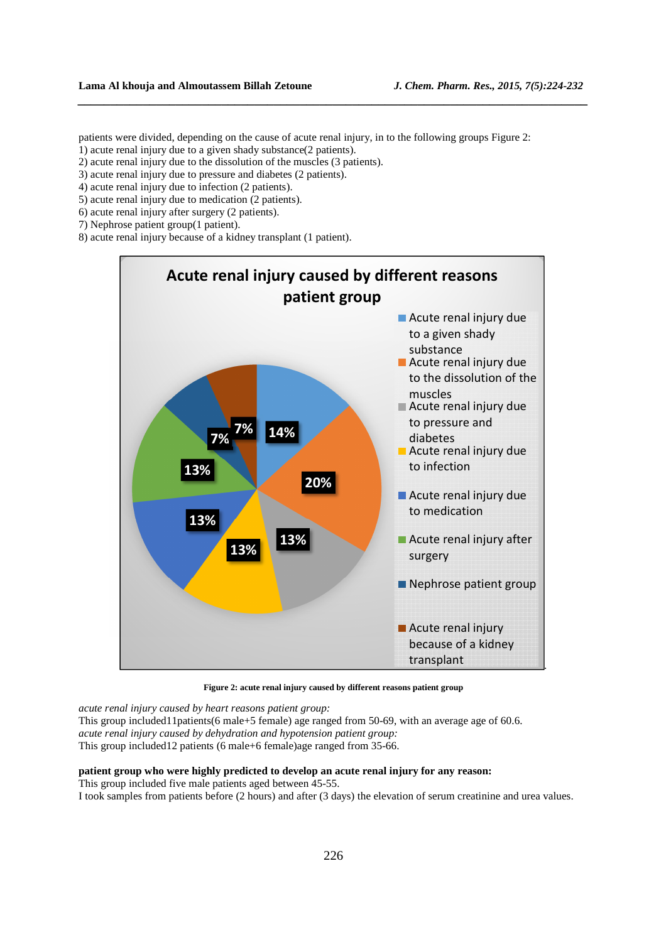patients were divided, depending on the cause of acute renal injury, in to the following groups Figure 2:

*\_\_\_\_\_\_\_\_\_\_\_\_\_\_\_\_\_\_\_\_\_\_\_\_\_\_\_\_\_\_\_\_\_\_\_\_\_\_\_\_\_\_\_\_\_\_\_\_\_\_\_\_\_\_\_\_\_\_\_\_\_\_\_\_\_\_\_\_\_\_\_\_\_\_\_\_\_\_*

- 1) acute renal injury due to a given shady substance(2 patients).
- 2) acute renal injury due to the dissolution of the muscles (3 patients).
- 3) acute renal injury due to pressure and diabetes (2 patients).
- 4) acute renal injury due to infection (2 patients).
- 5) acute renal injury due to medication (2 patients).
- 6) acute renal injury after surgery (2 patients).
- 7) Nephrose patient group(1 patient).
- 8) acute renal injury because of a kidney transplant (1 patient).



**Figure 2: acute renal injury caused by different reasons patient group** 

*acute renal injury caused by heart reasons patient group:*

This group included11patients(6 male+5 female) age ranged from 50-69, with an average age of 60.6. *acute renal injury caused by dehydration and hypotension patient group:* This group included12 patients (6 male+6 female)age ranged from 35-66.

## **patient group who were highly predicted to develop an acute renal injury for any reason:**

This group included five male patients aged between 45-55. I took samples from patients before (2 hours) and after (3 days) the elevation of serum creatinine and urea values.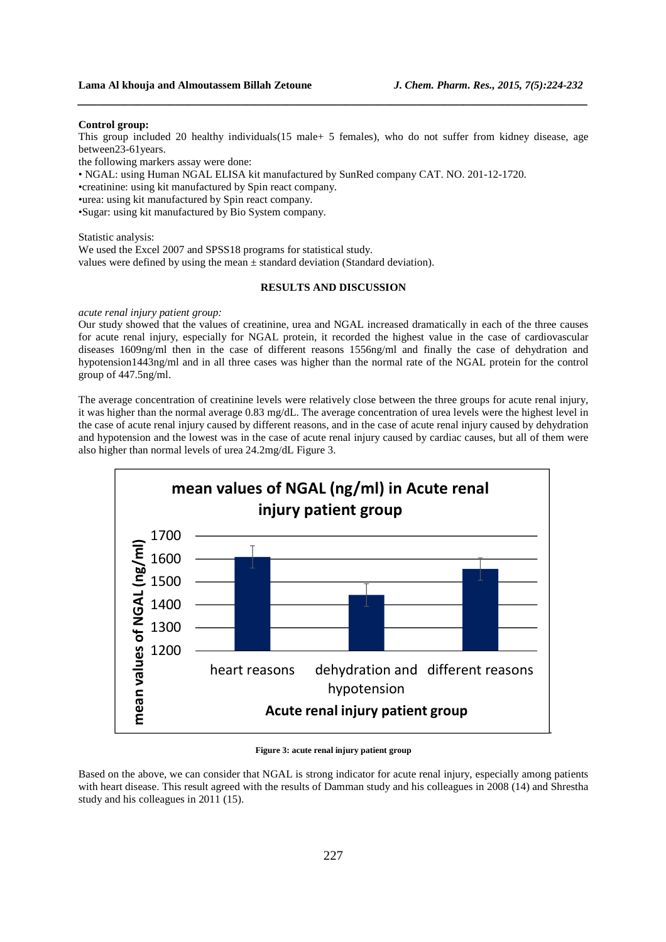#### **Control group:**

This group included 20 healthy individuals(15 male+ 5 females), who do not suffer from kidney disease, age between23-61years.

*\_\_\_\_\_\_\_\_\_\_\_\_\_\_\_\_\_\_\_\_\_\_\_\_\_\_\_\_\_\_\_\_\_\_\_\_\_\_\_\_\_\_\_\_\_\_\_\_\_\_\_\_\_\_\_\_\_\_\_\_\_\_\_\_\_\_\_\_\_\_\_\_\_\_\_\_\_\_*

the following markers assay were done:

• NGAL: using Human NGAL ELISA kit manufactured by SunRed company CAT. NO. 201-12-1720.

•creatinine: using kit manufactured by Spin react company.

•urea: using kit manufactured by Spin react company.

•Sugar: using kit manufactured by Bio System company.

Statistic analysis: We used the Excel 2007 and SPSS18 programs for statistical study. values were defined by using the mean  $\pm$  standard deviation (Standard deviation).

#### **RESULTS AND DISCUSSION**

*acute renal injury patient group:* 

Our study showed that the values of creatinine, urea and NGAL increased dramatically in each of the three causes for acute renal injury, especially for NGAL protein, it recorded the highest value in the case of cardiovascular diseases 1609ng/ml then in the case of different reasons 1556ng/ml and finally the case of dehydration and hypotension1443ng/ml and in all three cases was higher than the normal rate of the NGAL protein for the control group of 447.5ng/ml.

The average concentration of creatinine levels were relatively close between the three groups for acute renal injury, it was higher than the normal average 0.83 mg/dL. The average concentration of urea levels were the highest level in the case of acute renal injury caused by different reasons, and in the case of acute renal injury caused by dehydration and hypotension and the lowest was in the case of acute renal injury caused by cardiac causes, but all of them were also higher than normal levels of urea 24.2mg/dL Figure 3.



**Figure 3: acute renal injury patient group** 

Based on the above, we can consider that NGAL is strong indicator for acute renal injury, especially among patients with heart disease. This result agreed with the results of Damman study and his colleagues in 2008 (14) and Shrestha study and his colleagues in 2011 (15).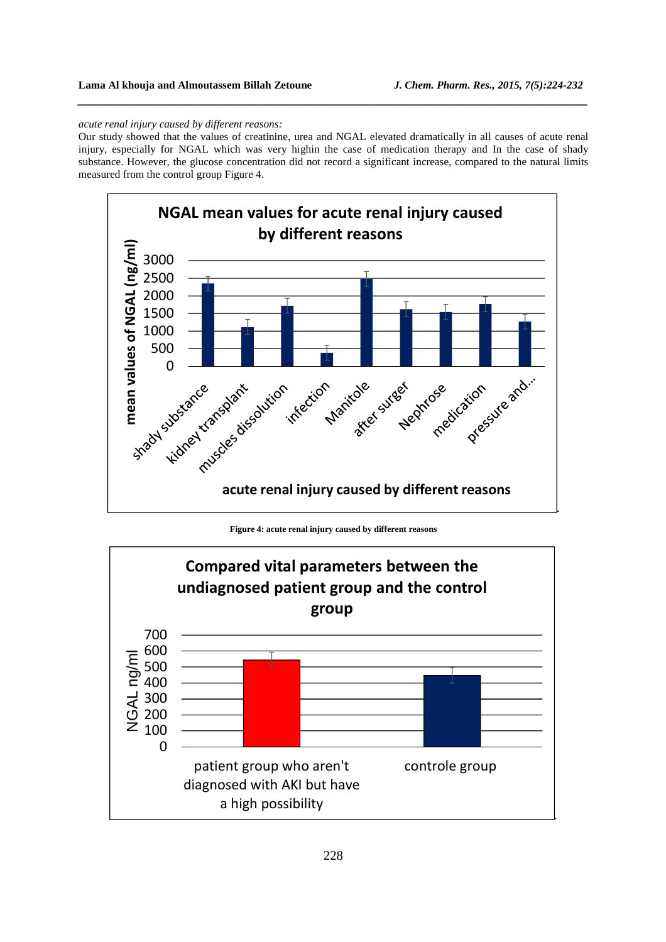#### *acute renal injury caused by different reasons:*

Our study showed that the values of creatinine, urea and NGAL elevated dramatically in all causes of acute renal injury, especially for NGAL which was very highin the case of medication therapy and In the case of shady substance. However, the glucose concentration did not record a significant increase, compared to the natural limits measured from the control group Figure 4.

*\_\_\_\_\_\_\_\_\_\_\_\_\_\_\_\_\_\_\_\_\_\_\_\_\_\_\_\_\_\_\_\_\_\_\_\_\_\_\_\_\_\_\_\_\_\_\_\_\_\_\_\_\_\_\_\_\_\_\_\_\_\_\_\_\_\_\_\_\_\_\_\_\_\_\_\_\_\_*



**Figure 4: acute renal injury caused by different reasons** 

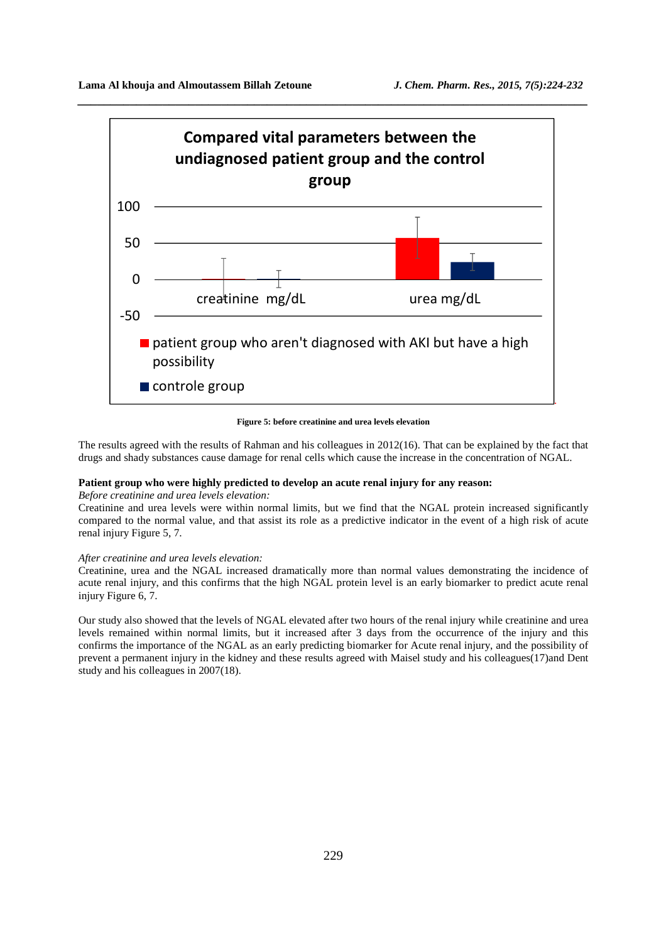

**Figure 5: before creatinine and urea levels elevation** 

The results agreed with the results of Rahman and his colleagues in 2012(16). That can be explained by the fact that drugs and shady substances cause damage for renal cells which cause the increase in the concentration of NGAL.

#### **Patient group who were highly predicted to develop an acute renal injury for any reason:**

#### *Before creatinine and urea levels elevation:*

Creatinine and urea levels were within normal limits, but we find that the NGAL protein increased significantly compared to the normal value, and that assist its role as a predictive indicator in the event of a high risk of acute renal injury Figure 5, 7.

### *After creatinine and urea levels elevation:*

Creatinine, urea and the NGAL increased dramatically more than normal values demonstrating the incidence of acute renal injury, and this confirms that the high NGAL protein level is an early biomarker to predict acute renal injury Figure 6, 7.

Our study also showed that the levels of NGAL elevated after two hours of the renal injury while creatinine and urea levels remained within normal limits, but it increased after 3 days from the occurrence of the injury and this confirms the importance of the NGAL as an early predicting biomarker for Acute renal injury, and the possibility of prevent a permanent injury in the kidney and these results agreed with Maisel study and his colleagues(17)and Dent study and his colleagues in 2007(18).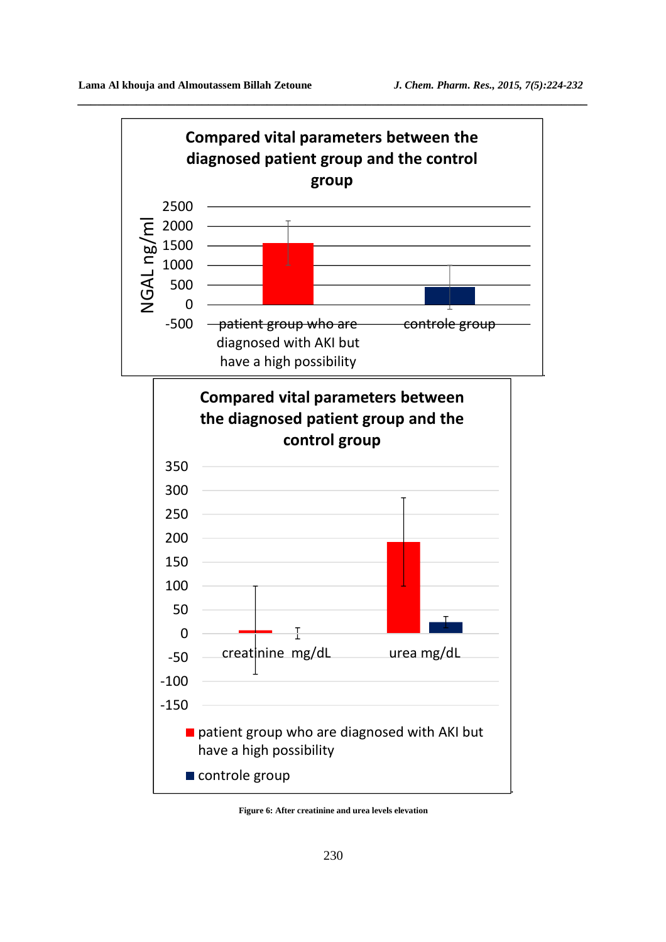

**Figure 6: After creatinine and urea levels elevation**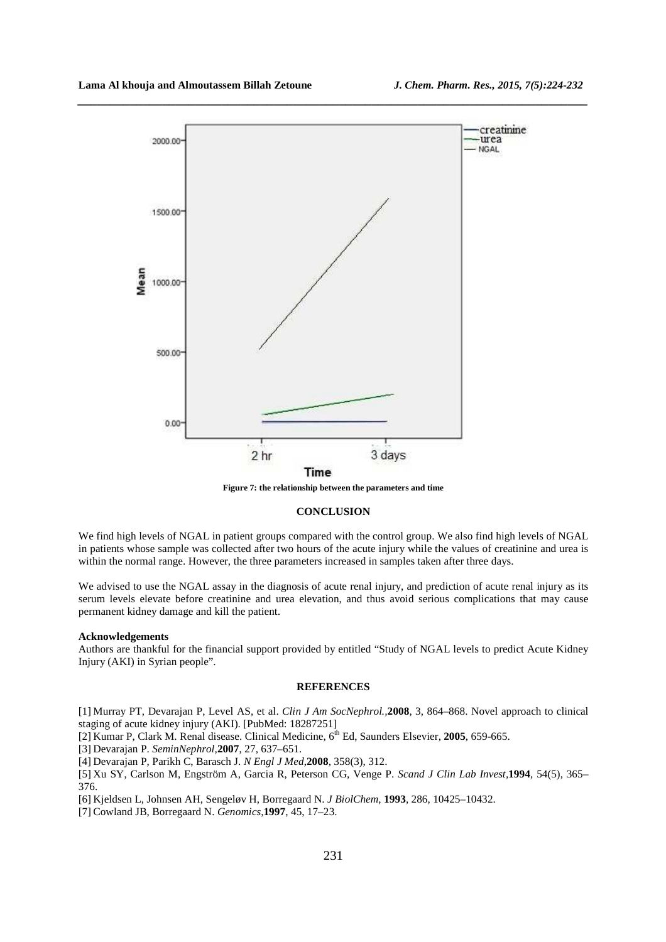

*\_\_\_\_\_\_\_\_\_\_\_\_\_\_\_\_\_\_\_\_\_\_\_\_\_\_\_\_\_\_\_\_\_\_\_\_\_\_\_\_\_\_\_\_\_\_\_\_\_\_\_\_\_\_\_\_\_\_\_\_\_\_\_\_\_\_\_\_\_\_\_\_\_\_\_\_\_\_*

**Figure 7: the relationship between the parameters and time** 

#### **CONCLUSION**

We find high levels of NGAL in patient groups compared with the control group. We also find high levels of NGAL in patients whose sample was collected after two hours of the acute injury while the values of creatinine and urea is within the normal range. However, the three parameters increased in samples taken after three days.

We advised to use the NGAL assay in the diagnosis of acute renal injury, and prediction of acute renal injury as its serum levels elevate before creatinine and urea elevation, and thus avoid serious complications that may cause permanent kidney damage and kill the patient.

#### **Acknowledgements**

Authors are thankful for the financial support provided by entitled "Study of NGAL levels to predict Acute Kidney Injury (AKI) in Syrian people".

#### **REFERENCES**

[1] Murray PT, Devarajan P, Level AS, et al. *Clin J Am SocNephrol.,***2008**, 3, 864–868. Novel approach to clinical staging of acute kidney injury (AKI). [PubMed: 18287251]

[2] Kumar P, Clark M. Renal disease. Clinical Medicine, 6<sup>th</sup> Ed, Saunders Elsevier, 2005, 659-665.

[3] Devarajan P. *SeminNephrol,***2007**, 27, 637–651.

[4] Devarajan P, Parikh C, Barasch J. *N Engl J Med*,**2008**, 358(3), 312.

[5] Xu SY, Carlson M, Engström A, Garcia R, Peterson CG, Venge P. *Scand J Clin Lab Invest,***1994**, 54(5), 365– 376.

[6] Kjeldsen L, Johnsen AH, Sengeløv H, Borregaard N. *J BiolChem*, **1993**, 286, 10425–10432.

[7] Cowland JB, Borregaard N. *Genomics,***1997**, 45, 17–23.